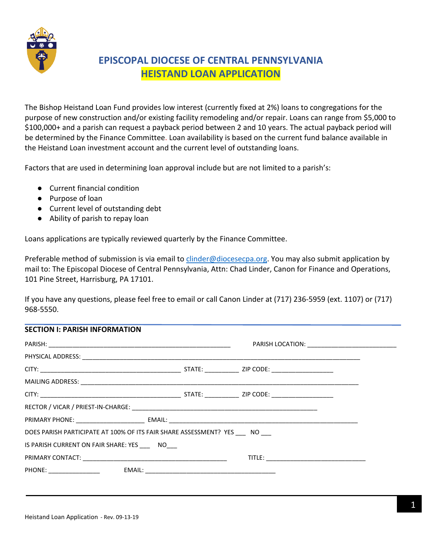

# **EPISCOPAL DIOCESE OF CENTRAL PENNSYLVANIA HEISTAND LOAN APPLICATION**

The Bishop Heistand Loan Fund provides low interest (currently fixed at 2%) loans to congregations for the purpose of new construction and/or existing facility remodeling and/or repair. Loans can range from \$5,000 to \$100,000+ and a parish can request a payback period between 2 and 10 years. The actual payback period will be determined by the Finance Committee. Loan availability is based on the current fund balance available in the Heistand Loan investment account and the current level of outstanding loans.

Factors that are used in determining loan approval include but are not limited to a parish's:

- Current financial condition
- Purpose of loan
- Current level of outstanding debt
- Ability of parish to repay loan

Loans applications are typically reviewed quarterly by the Finance Committee.

Preferable method of submission is via email to [clinder@diocesecpa.org.](mailto:clinder@diocesecpa.org) You may also submit application by mail to: The Episcopal Diocese of Central Pennsylvania, Attn: Chad Linder, Canon for Finance and Operations, 101 Pine Street, Harrisburg, PA 17101.

If you have any questions, please feel free to email or call Canon Linder at (717) 236-5959 (ext. 1107) or (717) 968-5550.

| <b>SECTION I: PARISH INFORMATION</b>                                 |  |  |
|----------------------------------------------------------------------|--|--|
|                                                                      |  |  |
|                                                                      |  |  |
|                                                                      |  |  |
|                                                                      |  |  |
|                                                                      |  |  |
|                                                                      |  |  |
|                                                                      |  |  |
| DOES PARISH PARTICIPATE AT 100% OF ITS FAIR SHARE ASSESSMENT? YES NO |  |  |
| IS PARISH CURRENT ON FAIR SHARE: YES NO                              |  |  |
|                                                                      |  |  |
|                                                                      |  |  |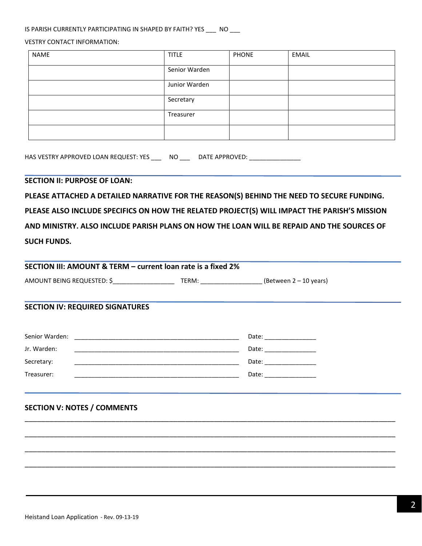#### IS PARISH CURRENTLY PARTICIPATING IN SHAPED BY FAITH? YES \_\_\_ NO \_\_\_

#### VESTRY CONTACT INFORMATION:

| NAME | <b>TITLE</b>  | <b>PHONE</b> | EMAIL |
|------|---------------|--------------|-------|
|      | Senior Warden |              |       |
|      | Junior Warden |              |       |
|      | Secretary     |              |       |
|      | Treasurer     |              |       |
|      |               |              |       |

HAS VESTRY APPROVED LOAN REQUEST: YES \_\_\_ NO \_\_\_ DATE APPROVED: \_\_\_\_\_\_\_\_\_\_\_\_\_

#### **SECTION II: PURPOSE OF LOAN:**

**PLEASE ATTACHED A DETAILED NARRATIVE FOR THE REASON(S) BEHIND THE NEED TO SECURE FUNDING. PLEASE ALSO INCLUDE SPECIFICS ON HOW THE RELATED PROJECT(S) WILL IMPACT THE PARISH'S MISSION AND MINISTRY. ALSO INCLUDE PARISH PLANS ON HOW THE LOAN WILL BE REPAID AND THE SOURCES OF SUCH FUNDS.** 

|                            | SECTION III: AMOUNT & TERM – current loan rate is a fixed 2% |                        |  |
|----------------------------|--------------------------------------------------------------|------------------------|--|
| AMOUNT BEING REQUESTED: \$ | TERM:                                                        | (Between 2 – 10 years) |  |

\_\_\_\_\_\_\_\_\_\_\_\_\_\_\_\_\_\_\_\_\_\_\_\_\_\_\_\_\_\_\_\_\_\_\_\_\_\_\_\_\_\_\_\_\_\_\_\_\_\_\_\_\_\_\_\_\_\_\_\_\_\_\_\_\_\_\_\_\_\_\_\_\_\_\_\_\_\_\_\_\_\_\_\_\_\_\_\_\_\_

\_\_\_\_\_\_\_\_\_\_\_\_\_\_\_\_\_\_\_\_\_\_\_\_\_\_\_\_\_\_\_\_\_\_\_\_\_\_\_\_\_\_\_\_\_\_\_\_\_\_\_\_\_\_\_\_\_\_\_\_\_\_\_\_\_\_\_\_\_\_\_\_\_\_\_\_\_\_\_\_\_\_\_\_\_\_\_\_\_\_

\_\_\_\_\_\_\_\_\_\_\_\_\_\_\_\_\_\_\_\_\_\_\_\_\_\_\_\_\_\_\_\_\_\_\_\_\_\_\_\_\_\_\_\_\_\_\_\_\_\_\_\_\_\_\_\_\_\_\_\_\_\_\_\_\_\_\_\_\_\_\_\_\_\_\_\_\_\_\_\_\_\_\_\_\_\_\_\_\_\_

\_\_\_\_\_\_\_\_\_\_\_\_\_\_\_\_\_\_\_\_\_\_\_\_\_\_\_\_\_\_\_\_\_\_\_\_\_\_\_\_\_\_\_\_\_\_\_\_\_\_\_\_\_\_\_\_\_\_\_\_\_\_\_\_\_\_\_\_\_\_\_\_\_\_\_\_\_\_\_\_\_\_\_\_\_\_\_\_\_\_

### **SECTION IV: REQUIRED SIGNATURES**

| Senior Warden:<br><u> 1980 - Jan James Sammer, mars and de la propinsie de la propinsie de la propinsie de la propinsie de la propi</u> | Date: |
|-----------------------------------------------------------------------------------------------------------------------------------------|-------|
| Jr. Warden:                                                                                                                             | Date: |
| Secretary:                                                                                                                              | Date: |
| Treasurer:                                                                                                                              | Date: |

### **SECTION V: NOTES / COMMENTS**